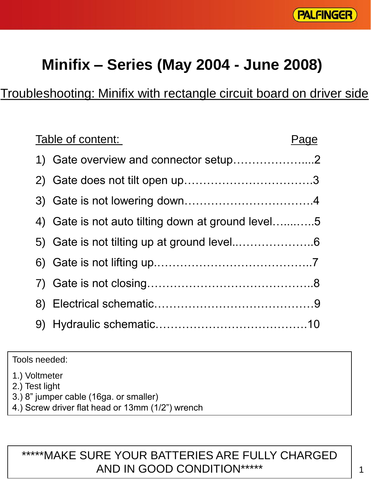

# **Minifix – Series (May 2004 - June 2008)**

# Troubleshooting: Minifix with rectangle circuit board on driver side

| Table of content:                                 | Page |
|---------------------------------------------------|------|
| 1) Gate overview and connector setup2             |      |
|                                                   |      |
|                                                   |      |
| 4) Gate is not auto tilting down at ground level5 |      |
|                                                   |      |
|                                                   |      |
|                                                   |      |
|                                                   |      |
|                                                   |      |

Tools needed:

1.) Voltmeter

2.) Test light

- 3.) 8" jumper cable (16ga. or smaller)
- 4.) Screw driver flat head or 13mm (1/2") wrench

#### \*\*\*\*\*MAKE SURE YOUR BATTERIES ARE FULLY CHARGED AND IN GOOD CONDITION\*\*\*\*\*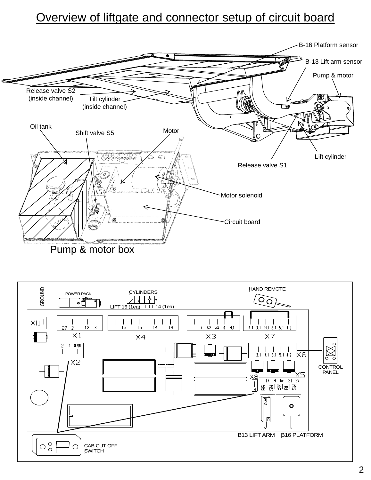### Overview of liftgate and connector setup of circuit board



Pump & motor box

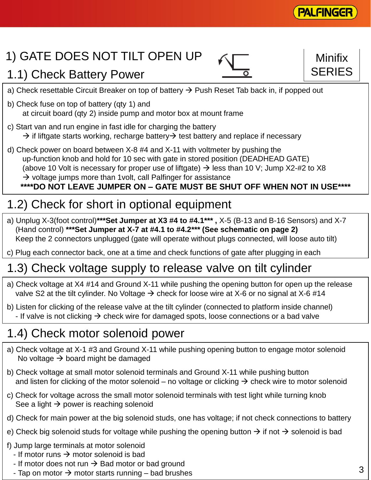

**SERIES** 

# 1) GATE DOES NOT TILT OPEN UP

### 1.1) Check Battery Power

- a) Check resettable Circuit Breaker on top of battery  $\rightarrow$  Push Reset Tab back in, if popped out
- b) Check fuse on top of battery (qty 1) and at circuit board (qty 2) inside pump and motor box at mount frame
- c) Start van and run engine in fast idle for charging the battery  $\rightarrow$  if liftgate starts working, recharge battery  $\rightarrow$  test battery and replace if necessary
- d) Check power on board between X-8 #4 and X-11 with voltmeter by pushing the up-function knob and hold for 10 sec with gate in stored position (DEADHEAD GATE) (above 10 Volt is necessary for proper use of liftgate)  $\rightarrow$  less than 10 V; Jump X2-#2 to X8  $\rightarrow$  voltage jumps more than 1 volt, call Palfinger for assistance **\*\*\*\*DO NOT LEAVE JUMPER ON – GATE MUST BE SHUT OFF WHEN NOT IN USE\*\*\*\***

# 1.2) Check for short in optional equipment

- a) Unplug X-3(foot control)**\*\*\*Set Jumper at X3 #4 to #4.1\*\*\* ,** X-5 (B-13 and B-16 Sensors) and X-7 (Hand control) **\*\*\*Set Jumper at X-7 at #4.1 to #4.2\*\*\* (See schematic on page 2)** Keep the 2 connectors unplugged (gate will operate without plugs connected, will loose auto tilt)
- c) Plug each connector back, one at a time and check functions of gate after plugging in each

### 1.3) Check voltage supply to release valve on tilt cylinder

- a) Check voltage at X4 #14 and Ground X-11 while pushing the opening button for open up the release valve S2 at the tilt cylinder. No Voltage  $\rightarrow$  check for loose wire at X-6 or no signal at X-6 #14
- b) Listen for clicking of the release valve at the tilt cylinder (connected to platform inside channel) - If valve is not clicking  $\rightarrow$  check wire for damaged spots, loose connections or a bad valve

### 1.4) Check motor solenoid power

- a) Check voltage at X-1 #3 and Ground X-11 while pushing opening button to engage motor solenoid No voltage  $\rightarrow$  board might be damaged
- b) Check voltage at small motor solenoid terminals and Ground X-11 while pushing button and listen for clicking of the motor solenoid – no voltage or clicking  $\rightarrow$  check wire to motor solenoid
- c) Check for voltage across the small motor solenoid terminals with test light while turning knob See a light  $\rightarrow$  power is reaching solenoid
- d) Check for main power at the big solenoid studs, one has voltage; if not check connections to battery
- e) Check big solenoid studs for voltage while pushing the opening button  $\rightarrow$  if not  $\rightarrow$  solenoid is bad
- f) Jump large terminals at motor solenoid
	- If motor runs  $\rightarrow$  motor solenoid is bad
	- If motor does not run  $\rightarrow$  Bad motor or bad ground
	- Tap on motor  $\rightarrow$  motor starts running bad brushes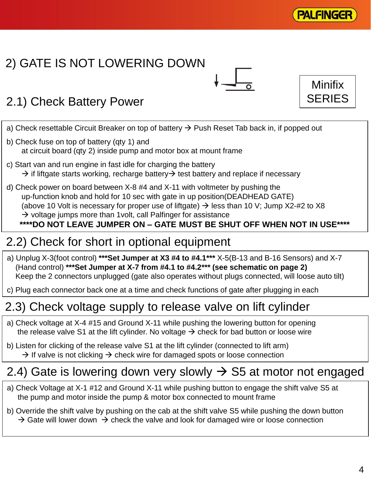

# 2) GATE IS NOT LOWERING DOWN





# 2.1) Check Battery Power

- a) Check resettable Circuit Breaker on top of battery  $\rightarrow$  Push Reset Tab back in, if popped out
- b) Check fuse on top of battery (qty 1) and at circuit board (qty 2) inside pump and motor box at mount frame
- c) Start van and run engine in fast idle for charging the battery  $\rightarrow$  if liftgate starts working, recharge battery  $\rightarrow$  test battery and replace if necessary
- d) Check power on board between X-8 #4 and X-11 with voltmeter by pushing the up-function knob and hold for 10 sec with gate in up position(DEADHEAD GATE) (above 10 Volt is necessary for proper use of liftgate)  $\rightarrow$  less than 10 V; Jump X2-#2 to X8  $\rightarrow$  voltage jumps more than 1 volt, call Palfinger for assistance **\*\*\*\*DO NOT LEAVE JUMPER ON – GATE MUST BE SHUT OFF WHEN NOT IN USE\*\*\*\***

# 2.2) Check for short in optional equipment

- a) Unplug X-3(foot control) **\*\*\*Set Jumper at X3 #4 to #4.1\*\*\*** X-5(B-13 and B-16 Sensors) and X-7 (Hand control) **\*\*\*Set Jumper at X-7 from #4.1 to #4.2\*\*\* (see schematic on page 2)** Keep the 2 connectors unplugged (gate also operates without plugs connected, will loose auto tilt)
- c) Plug each connector back one at a time and check functions of gate after plugging in each

# 2.3) Check voltage supply to release valve on lift cylinder

- a) Check voltage at X-4 #15 and Ground X-11 while pushing the lowering button for opening the release valve S1 at the lift cylinder. No voltage  $\rightarrow$  check for bad button or loose wire
- b) Listen for clicking of the release valve S1 at the lift cylinder (connected to lift arm)  $\rightarrow$  If valve is not clicking  $\rightarrow$  check wire for damaged spots or loose connection

# 2.4) Gate is lowering down very slowly  $\rightarrow$  S5 at motor not engaged

- a) Check Voltage at X-1 #12 and Ground X-11 while pushing button to engage the shift valve S5 at the pump and motor inside the pump & motor box connected to mount frame
- b) Override the shift valve by pushing on the cab at the shift valve S5 while pushing the down button  $\rightarrow$  Gate will lower down  $\rightarrow$  check the valve and look for damaged wire or loose connection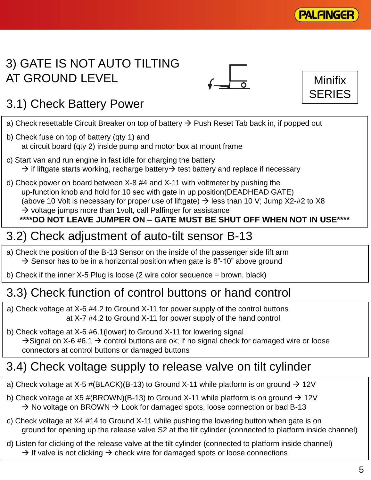

## 3) GATE IS NOT AUTO TILTING AT GROUND LEVEL





# 3.1) Check Battery Power

- a) Check resettable Circuit Breaker on top of battery  $\rightarrow$  Push Reset Tab back in, if popped out
- b) Check fuse on top of battery (qty 1) and at circuit board (qty 2) inside pump and motor box at mount frame
- c) Start van and run engine in fast idle for charging the battery  $\rightarrow$  if liftgate starts working, recharge battery  $\rightarrow$  test battery and replace if necessary
- d) Check power on board between X-8 #4 and X-11 with voltmeter by pushing the up-function knob and hold for 10 sec with gate in up position(DEADHEAD GATE) (above 10 Volt is necessary for proper use of liftgate)  $\rightarrow$  less than 10 V; Jump X2-#2 to X8  $\rightarrow$  voltage jumps more than 1 volt, call Palfinger for assistance

#### **\*\*\*\*DO NOT LEAVE JUMPER ON – GATE MUST BE SHUT OFF WHEN NOT IN USE\*\*\*\***

# 3.2) Check adjustment of auto-tilt sensor B-13

- a) Check the position of the B-13 Sensor on the inside of the passenger side lift arm  $\rightarrow$  Sensor has to be in a horizontal position when gate is 8"-10" above ground
- b) Check if the inner X-5 Plug is loose (2 wire color sequence = brown, black)

# 3.3) Check function of control buttons or hand control

- a) Check voltage at X-6 #4.2 to Ground X-11 for power supply of the control buttons at X-7 #4.2 to Ground X-11 for power supply of the hand control
- b) Check voltage at X-6 #6.1(lower) to Ground X-11 for lowering signal  $\rightarrow$  Signal on X-6 #6.1  $\rightarrow$  control buttons are ok; if no signal check for damaged wire or loose connectors at control buttons or damaged buttons

# 3.4) Check voltage supply to release valve on tilt cylinder

- a) Check voltage at X-5 #(BLACK)(B-13) to Ground X-11 while platform is on ground  $\rightarrow$  12V
- b) Check voltage at X5 #(BROWN)(B-13) to Ground X-11 while platform is on ground  $\rightarrow$  12V  $\rightarrow$  No voltage on BROWN  $\rightarrow$  Look for damaged spots, loose connection or bad B-13
- c) Check voltage at X4 #14 to Ground X-11 while pushing the lowering button when gate is on ground for opening up the release valve S2 at the tilt cylinder (connected to platform inside channel)
- d) Listen for clicking of the release valve at the tilt cylinder (connected to platform inside channel)  $\rightarrow$  If valve is not clicking  $\rightarrow$  check wire for damaged spots or loose connections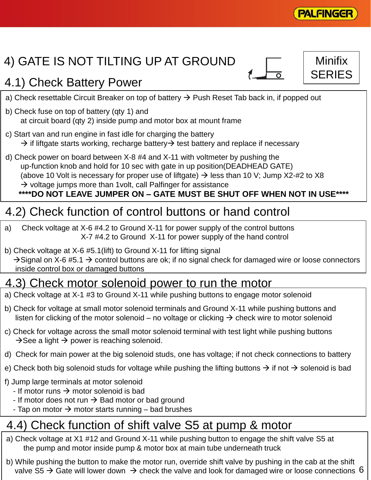

**SERIES** 

# 4) GATE IS NOT TILTING UP AT GROUND

## 4.1) Check Battery Power

- a) Check resettable Circuit Breaker on top of battery  $\rightarrow$  Push Reset Tab back in, if popped out
- b) Check fuse on top of battery (qty 1) and at circuit board (qty 2) inside pump and motor box at mount frame
- c) Start van and run engine in fast idle for charging the battery  $\rightarrow$  if liftgate starts working, recharge battery  $\rightarrow$  test battery and replace if necessary
- d) Check power on board between X-8 #4 and X-11 with voltmeter by pushing the up-function knob and hold for 10 sec with gate in up position(DEADHEAD GATE) (above 10 Volt is necessary for proper use of liftgate)  $\rightarrow$  less than 10 V; Jump X2-#2 to X8  $\rightarrow$  voltage jumps more than 1 volt, call Palfinger for assistance

#### **\*\*\*\*DO NOT LEAVE JUMPER ON – GATE MUST BE SHUT OFF WHEN NOT IN USE\*\*\*\***

#### 4.2) Check function of control buttons or hand control

- a) Check voltage at X-6 #4.2 to Ground X-11 for power supply of the control buttons X-7 #4.2 to Ground X-11 for power supply of the hand control
- b) Check voltage at X-6 #5.1(lift) to Ground X-11 for lifting signal  $\rightarrow$  Signal on X-6 #5.1  $\rightarrow$  control buttons are ok; if no signal check for damaged wire or loose connectors inside control box or damaged buttons

#### 4.3) Check motor solenoid power to run the motor

- a) Check voltage at X-1 #3 to Ground X-11 while pushing buttons to engage motor solenoid
- b) Check for voltage at small motor solenoid terminals and Ground X-11 while pushing buttons and listen for clicking of the motor solenoid – no voltage or clicking  $\rightarrow$  check wire to motor solenoid
- c) Check for voltage across the small motor solenoid terminal with test light while pushing buttons  $\rightarrow$  See a light  $\rightarrow$  power is reaching solenoid.
- d) Check for main power at the big solenoid studs, one has voltage; if not check connections to battery
- e) Check both big solenoid studs for voltage while pushing the lifting buttons  $\rightarrow$  if not  $\rightarrow$  solenoid is bad
- f) Jump large terminals at motor solenoid
	- If motor runs  $\rightarrow$  motor solenoid is bad
	- If motor does not run  $\rightarrow$  Bad motor or bad ground
	- Tap on motor  $\rightarrow$  motor starts running bad brushes

# 4.4) Check function of shift valve S5 at pump & motor

- a) Check voltage at X1 #12 and Ground X-11 while pushing button to engage the shift valve S5 at the pump and motor inside pump & motor box at main tube underneath truck
- valve S5  $\rightarrow$  Gate will lower down  $\rightarrow$  check the valve and look for damaged wire or loose connections 6 b) While pushing the button to make the motor run, override shift valve by pushing in the cab at the shift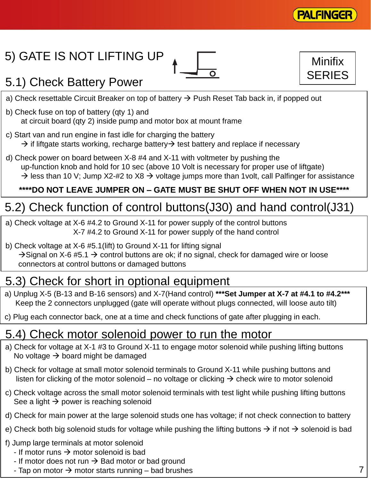

**SERIES** 

# 5) GATE IS NOT LIFTING UP



# 5.1) Check Battery Power

- a) Check resettable Circuit Breaker on top of battery  $\rightarrow$  Push Reset Tab back in, if popped out
- b) Check fuse on top of battery (qty 1) and at circuit board (qty 2) inside pump and motor box at mount frame
- c) Start van and run engine in fast idle for charging the battery  $\rightarrow$  if liftgate starts working, recharge battery  $\rightarrow$  test battery and replace if necessary
- d) Check power on board between X-8 #4 and X-11 with voltmeter by pushing the up-function knob and hold for 10 sec (above 10 Volt is necessary for proper use of liftgate)  $\rightarrow$  less than 10 V; Jump X2-#2 to X8  $\rightarrow$  voltage jumps more than 1volt, call Palfinger for assistance

#### **\*\*\*\*DO NOT LEAVE JUMPER ON – GATE MUST BE SHUT OFF WHEN NOT IN USE\*\*\*\***

# 5.2) Check function of control buttons(J30) and hand control(J31)

- a) Check voltage at X-6 #4.2 to Ground X-11 for power supply of the control buttons X-7 #4.2 to Ground X-11 for power supply of the hand control
- b) Check voltage at X-6 #5.1(lift) to Ground X-11 for lifting signal  $\rightarrow$  Signal on X-6 #5.1  $\rightarrow$  control buttons are ok; if no signal, check for damaged wire or loose connectors at control buttons or damaged buttons

# 5.3) Check for short in optional equipment

- a) Unplug X-5 (B-13 and B-16 sensors) and X-7(Hand control) **\*\*\*Set Jumper at X-7 at #4.1 to #4.2\*\*\*** Keep the 2 connectors unplugged (gate will operate without plugs connected, will loose auto tilt)
- c) Plug each connector back, one at a time and check functions of gate after plugging in each.

#### 5.4) Check motor solenoid power to run the motor

- a) Check for voltage at X-1 #3 to Ground X-11 to engage motor solenoid while pushing lifting buttons No voltage  $\rightarrow$  board might be damaged
- b) Check for voltage at small motor solenoid terminals to Ground X-11 while pushing buttons and listen for clicking of the motor solenoid – no voltage or clicking  $\rightarrow$  check wire to motor solenoid
- c) Check voltage across the small motor solenoid terminals with test light while pushing lifting buttons See a light  $\rightarrow$  power is reaching solenoid
- d) Check for main power at the large solenoid studs one has voltage; if not check connection to battery
- e) Check both big solenoid studs for voltage while pushing the lifting buttons  $\rightarrow$  if not  $\rightarrow$  solenoid is bad
- f) Jump large terminals at motor solenoid
	- If motor runs  $\rightarrow$  motor solenoid is bad
	- If motor does not run  $\rightarrow$  Bad motor or bad ground
	- Tap on motor  $\rightarrow$  motor starts running bad brushes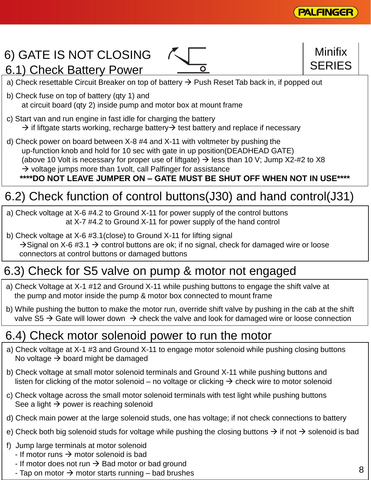

**SERIES** 

# 6) GATE IS NOT CLOSING

6.1) Check Battery Power



- a) Check resettable Circuit Breaker on top of battery  $\rightarrow$  Push Reset Tab back in, if popped out
- b) Check fuse on top of battery (qty 1) and at circuit board (qty 2) inside pump and motor box at mount frame
- c) Start van and run engine in fast idle for charging the battery  $\rightarrow$  if liftgate starts working, recharge battery  $\rightarrow$  test battery and replace if necessary
- d) Check power on board between X-8 #4 and X-11 with voltmeter by pushing the up-function knob and hold for 10 sec with gate in up position(DEADHEAD GATE) (above 10 Volt is necessary for proper use of liftgate)  $\rightarrow$  less than 10 V; Jump X2-#2 to X8  $\rightarrow$  voltage jumps more than 1 volt, call Palfinger for assistance

#### **\*\*\*\*DO NOT LEAVE JUMPER ON – GATE MUST BE SHUT OFF WHEN NOT IN USE\*\*\*\***

# 6.2) Check function of control buttons(J30) and hand control(J31)

- a) Check voltage at X-6 #4.2 to Ground X-11 for power supply of the control buttons at X-7 #4.2 to Ground X-11 for power supply of the hand control
- b) Check voltage at X-6 #3.1(close) to Ground X-11 for lifting signal  $\rightarrow$  Signal on X-6 #3.1  $\rightarrow$  control buttons are ok; if no signal, check for damaged wire or loose connectors at control buttons or damaged buttons

### 6.3) Check for S5 valve on pump & motor not engaged

- a) Check Voltage at X-1 #12 and Ground X-11 while pushing buttons to engage the shift valve at the pump and motor inside the pump & motor box connected to mount frame
- b) While pushing the button to make the motor run, override shift valve by pushing in the cab at the shift valve S5  $\rightarrow$  Gate will lower down  $\rightarrow$  check the valve and look for damaged wire or loose connection

#### 6.4) Check motor solenoid power to run the motor

- a) Check voltage at X-1 #3 and Ground X-11 to engage motor solenoid while pushing closing buttons No voltage  $\rightarrow$  board might be damaged
- b) Check voltage at small motor solenoid terminals and Ground X-11 while pushing buttons and listen for clicking of the motor solenoid – no voltage or clicking  $\rightarrow$  check wire to motor solenoid
- c) Check voltage across the small motor solenoid terminals with test light while pushing buttons See a light  $\rightarrow$  power is reaching solenoid
- d) Check main power at the large solenoid studs, one has voltage; if not check connections to battery
- e) Check both big solenoid studs for voltage while pushing the closing buttons  $\rightarrow$  if not  $\rightarrow$  solenoid is bad
- f) Jump large terminals at motor solenoid
	- If motor runs  $\rightarrow$  motor solenoid is bad
	- If motor does not run  $\rightarrow$  Bad motor or bad ground
	- Tap on motor  $\rightarrow$  motor starts running bad brushes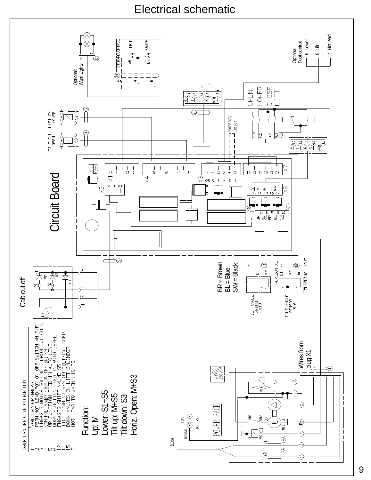Electrical schematic